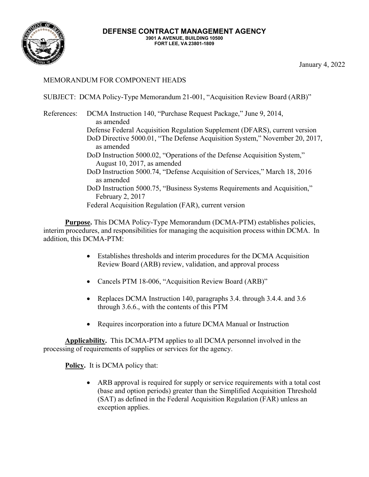

## MEMORANDUM FOR COMPONENT HEADS

SUBJECT: DCMA Policy-Type Memorandum 21-001, "Acquisition Review Board (ARB)"

### References: DCMA Instruction 140, "Purchase Request Package," June 9, 2014, as amended Defense Federal Acquisition Regulation Supplement (DFARS), current version DoD Directive 5000.01, "The Defense Acquisition System," November 20, 2017, as amended DoD Instruction 5000.02, "Operations of the Defense Acquisition System," August 10, 2017, as amended DoD Instruction 5000.74, "Defense Acquisition of Services," March 18, 2016 as amended DoD Instruction 5000.75, "Business Systems Requirements and Acquisition," February 2, 2017 Federal Acquisition Regulation (FAR), current version

**Purpose.** This DCMA Policy-Type Memorandum (DCMA-PTM) establishes policies, interim procedures, and responsibilities for managing the acquisition process within DCMA. In addition, this DCMA-PTM:

- • Establishes thresholds and interim procedures for the DCMA Acquisition Review Board (ARB) review, validation, and approval process
- Cancels PTM 18-006, "Acquisition Review Board (ARB)"
- • Replaces DCMA Instruction 140, paragraphs 3.4. through 3.4.4. and 3.6 through 3.6.6., with the contents of this PTM
- Requires incorporation into a future DCMA Manual or Instruction

**Applicability.** This DCMA-PTM applies to all DCMA personnel involved in the processing of requirements of supplies or services for the agency.

**Policy.** It is DCMA policy that:

 • ARB approval is required for supply or service requirements with a total cost (base and option periods) greater than the Simplified Acquisition Threshold (SAT) as defined in the Federal Acquisition Regulation (FAR) unless an exception applies.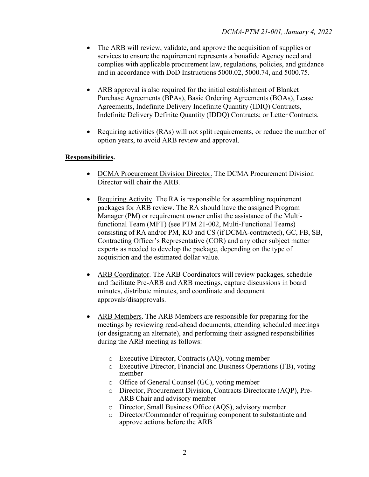- complies with applicable procurement law, regulations, policies, and guidance and in accordance with DoD Instructions 5000.02, 5000.74, and 5000.75. • The ARB will review, validate, and approve the acquisition of supplies or services to ensure the requirement represents a bonafide Agency need and
- • ARB approval is also required for the initial establishment of Blanket Indefinite Delivery Definite Quantity (IDDQ) Contracts; or Letter Contracts. Purchase Agreements (BPAs), Basic Ordering Agreements (BOAs), Lease Agreements, Indefinite Delivery Indefinite Quantity (IDIQ) Contracts,
- option years, to avoid ARB review and approval. • Requiring activities (RAs) will not split requirements, or reduce the number of

## **Responsibilities.**

- DCMA Procurement Division Director. The DCMA Procurement Division Director will chair the ARB.
- Manager (PM) or requirement owner enlist the assistance of the Multi- consisting of RA and/or PM, KO and CS (if DCMA-contracted), GC, FB, SB, experts as needed to develop the package, depending on the type of • Requiring Activity. The RA is responsible for assembling requirement packages for ARB review. The RA should have the assigned Program functional Team (MFT) (see PTM 21-002, Multi-Functional Teams) Contracting Officer's Representative (COR) and any other subject matter acquisition and the estimated dollar value.
- and facilitate Pre-ARB and ARB meetings, capture discussions in board • ARB Coordinator. The ARB Coordinators will review packages, schedule minutes, distribute minutes, and coordinate and document approvals/disapprovals.
- during the ARB meeting as follows: • ARB Members. The ARB Members are responsible for preparing for the meetings by reviewing read-ahead documents, attending scheduled meetings (or designating an alternate), and performing their assigned responsibilities
	- o Executive Director, Contracts (AQ), voting member
	- o Executive Director, Financial and Business Operations (FB), voting member
	- o Office of General Counsel (GC), voting member
	- o Director, Procurement Division, Contracts Directorate (AQP), Pre-ARB Chair and advisory member
	- o Director, Small Business Office (AQS), advisory member
	- o Director/Commander of requiring component to substantiate and approve actions before the ARB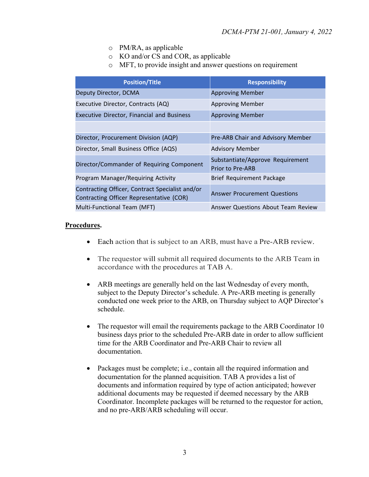- o PM/RA, as applicable
- o KO and/or CS and COR, as applicable
- o MFT, to provide insight and answer questions on requirement

| <b>Position/Title</b>                                                                       | <b>Responsibility</b>                                       |
|---------------------------------------------------------------------------------------------|-------------------------------------------------------------|
| Deputy Director, DCMA                                                                       | <b>Approving Member</b>                                     |
| Executive Director, Contracts (AQ)                                                          | <b>Approving Member</b>                                     |
| Executive Director, Financial and Business                                                  | <b>Approving Member</b>                                     |
|                                                                                             |                                                             |
| Director, Procurement Division (AQP)                                                        | Pre-ARB Chair and Advisory Member                           |
| Director, Small Business Office (AQS)                                                       | <b>Advisory Member</b>                                      |
| Director/Commander of Requiring Component                                                   | Substantiate/Approve Requirement<br><b>Prior to Pre-ARB</b> |
| Program Manager/Requiring Activity                                                          | <b>Brief Requirement Package</b>                            |
| Contracting Officer, Contract Specialist and/or<br>Contracting Officer Representative (COR) | <b>Answer Procurement Questions</b>                         |
| Multi-Functional Team (MFT)                                                                 | Answer Questions About Team Review                          |

### **Procedures.**

- Each action that is subject to an ARB, must have a Pre-ARB review.
- • The requestor will submit all required documents to the ARB Team in accordance with the procedures at TAB A.
- conducted one week prior to the ARB, on Thursday subject to AQP Director's • ARB meetings are generally held on the last Wednesday of every month, subject to the Deputy Director's schedule. A Pre-ARB meeting is generally schedule.
- The requestor will email the requirements package to the ARB Coordinator 10 business days prior to the scheduled Pre-ARB date in order to allow sufficient time for the ARB Coordinator and Pre-ARB Chair to review all documentation.
- Coordinator. Incomplete packages will be returned to the requestor for action, and no pre-ARB/ARB scheduling will occur. • Packages must be complete; i.e., contain all the required information and documentation for the planned acquisition. TAB A provides a list of documents and information required by type of action anticipated; however additional documents may be requested if deemed necessary by the ARB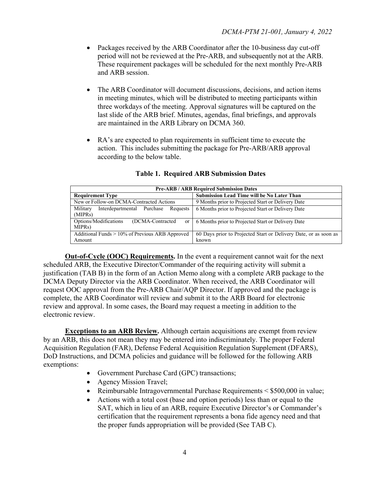- period will not be reviewed at the Pre-ARB, and subsequently not at the ARB. and ARB session. • Packages received by the ARB Coordinator after the 10-business day cut-off These requirement packages will be scheduled for the next monthly Pre-ARB
- • The ARB Coordinator will document discussions, decisions, and action items are maintained in the ARB Library on DCMA 360. in meeting minutes, which will be distributed to meeting participants within three workdays of the meeting. Approval signatures will be captured on the last slide of the ARB brief. Minutes, agendas, final briefings, and approvals
- action. This includes submitting the package for Pre-ARB/ARB approval according to the below table. RA's are expected to plan requirements in sufficient time to execute the

| <b>Pre-ARB / ARB Required Submission Dates</b>                                    |                                                                           |  |  |  |
|-----------------------------------------------------------------------------------|---------------------------------------------------------------------------|--|--|--|
| <b>Requirement Type</b>                                                           | <b>Submission Lead Time will be No Later Than</b>                         |  |  |  |
| New or Follow-on DCMA-Contracted Actions                                          | 9 Months prior to Projected Start or Delivery Date                        |  |  |  |
| Military<br>Interdepartmental Purchase<br>Requests<br>(MIPR <sub>s</sub> )        | 6 Months prior to Projected Start or Delivery Date                        |  |  |  |
| Options/Modifications<br>(DCMA-Contracted<br><sub>or</sub><br>MIPR <sub>s</sub> ) | 6 Months prior to Projected Start or Delivery Date                        |  |  |  |
| Additional Funds > 10% of Previous ARB Approved<br>Amount                         | 60 Days prior to Projected Start or Delivery Date, or as soon as<br>known |  |  |  |

### **Table 1. Required ARB Submission Dates**

**Out-of-Cycle (OOC) Requirements.** In the event a requirement cannot wait for the next scheduled ARB, the Executive Director/Commander of the requiring activity will submit a justification (TAB B) in the form of an Action Memo along with a complete ARB package to the DCMA Deputy Director via the ARB Coordinator. When received, the ARB Coordinator will request OOC approval from the Pre-ARB Chair/AQP Director. If approved and the package is complete, the ARB Coordinator will review and submit it to the ARB Board for electronic review and approval. In some cases, the Board may request a meeting in addition to the electronic review.

**Exceptions to an ARB Review.** Although certain acquisitions are exempt from review by an ARB, this does not mean they may be entered into indiscriminately. The proper Federal Acquisition Regulation (FAR), Defense Federal Acquisition Regulation Supplement (DFARS), DoD Instructions, and DCMA policies and guidance will be followed for the following ARB exemptions:

- Government Purchase Card (GPC) transactions;
- Agency Mission Travel;
- Reimbursable Intragovernmental Purchase Requirements < \$500,000 in value;
- • Actions with a total cost (base and option periods) less than or equal to the SAT, which in lieu of an ARB, require Executive Director's or Commander's certification that the requirement represents a bona fide agency need and that the proper funds appropriation will be provided (See TAB C).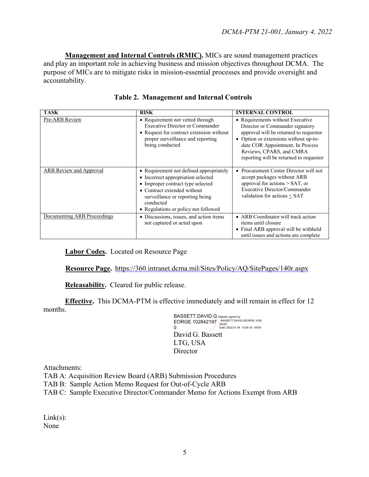and play an important role in achieving business and mission objectives throughout DCMA. The **Management and Internal Controls (RMIC).** MICs are sound management practices purpose of MICs are to mitigate risks in mission-essential processes and provide oversight and accountability.

| TASK                        | <b>RISK</b>                                                                                                                                                                                                                               | <b>INTERNAL CONTROL</b>                                                                                                                                                                                                                                           |
|-----------------------------|-------------------------------------------------------------------------------------------------------------------------------------------------------------------------------------------------------------------------------------------|-------------------------------------------------------------------------------------------------------------------------------------------------------------------------------------------------------------------------------------------------------------------|
| Pre-ARB Review              | • Requirement not vetted through<br><b>Executive Director or Commander</b><br>• Request for contract extension without<br>proper surveillance and reporting<br>being conducted                                                            | • Requirements without Executive<br>Director or Commander signatory<br>approval will be returned to requestor<br>• Option or extensions without up-to-<br>date COR Appointment, In Process<br>Reviews, CPARS, and CMRA<br>reporting will be returned to requestor |
| ARB Review and Approval     | • Requirement not defined appropriately<br>• Incorrect appropriation selected<br>• Improper contract type selected<br>• Contract extended without<br>surveillance or reporting being<br>conducted<br>• Regulations or policy not followed | • Procurement Center Director will not<br>accept packages without ARB<br>approval for actions $>$ SAT, or<br>Executive Director/Commander<br>validation for actions < SAT                                                                                         |
| Documenting ARB Proceedings | • Discussions, issues, and action items<br>not captured or acted upon                                                                                                                                                                     | • ARB Coordinator will track action<br>items until closure<br>• Final ARB approval will be withheld<br>until issues and actions are complete                                                                                                                      |

|  | <b>Table 2. Management and Internal Controls</b> |  |  |
|--|--------------------------------------------------|--|--|
|--|--------------------------------------------------|--|--|

**Labor Codes.** Located on Resource Page

 **Resource Page.** <https://360.intranet.dcma.mil/Sites/Policy/AQ/SitePages/140r.aspx>

**Releasability.** Cleared for public release.

 **Effective.** This DCMA-PTM is effective immediately and will remain in effect for 12 months.

> EORGE.102842197 BASSETT.DAVID.GEORGE.1028<br>0 Date: 2022.01.04 13:08:18 -05'00 David G. Bassett LTG, USA 0 Date: 2022.01.04 13:08:18 -05'00' **Director** BASSETT.DAVID.G Digitally signed by

Attachments:

TAB A: Acquisition Review Board (ARB) Submission Procedures

TAB B: Sample Action Memo Request for Out-of-Cycle ARB

TAB C: Sample Executive Director/Commander Memo for Actions Exempt from ARB

 $Link(s)$ : None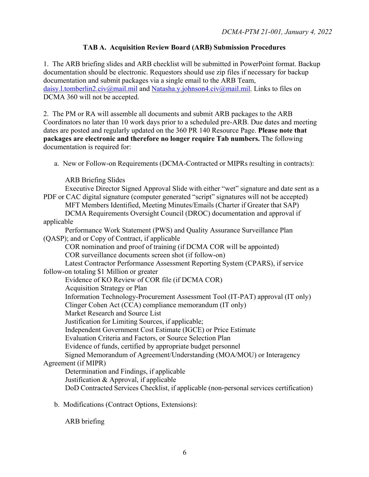## **TAB A. Acquisition Review Board (ARB) Submission Procedures**

 1. The ARB briefing slides and ARB checklist will be submitted in PowerPoint format. Backup [daisy.l.tomberlin2.civ@mail.mil a](mailto:daisy.l.tomberlin2.civ@mail.mil)nd [Natasha.y.johnson4.civ@mail.mil.](mailto:Natasha.y.johnson4.civ@mail.mil) Links to files on documentation should be electronic. Requestors should use zip files if necessary for backup documentation and submit packages via a single email to the ARB Team, DCMA 360 will not be accepted.

2. The PM or RA will assemble all documents and submit ARB packages to the ARB Coordinators no later than 10 work days prior to a scheduled pre-ARB. Due dates and meeting dates are posted and regularly updated on the 360 PR 140 Resource Page. **Please note that packages are electronic and therefore no longer require Tab numbers.** The following documentation is required for:

a. New or Follow-on Requirements (DCMA-Contracted or MIPRs resulting in contracts):

ARB Briefing Slides

| Executive Director Signed Approval Slide with either "wet" signature and date sent as a    |
|--------------------------------------------------------------------------------------------|
| PDF or CAC digital signature (computer generated "script" signatures will not be accepted) |
| MFT Members Identified, Meeting Minutes/Emails (Charter if Greater that SAP)               |
| DCMA Requirements Oversight Council (DROC) documentation and approval if                   |
| applicable                                                                                 |
| Performance Work Statement (PWS) and Quality Assurance Surveillance Plan                   |
| (QASP); and or Copy of Contract, if applicable                                             |
| COR nomination and proof of training (if DCMA COR will be appointed)                       |
| COR surveillance documents screen shot (if follow-on)                                      |
| Latest Contractor Performance Assessment Reporting System (CPARS), if service              |
| follow-on totaling \$1 Million or greater                                                  |
| Evidence of KO Review of COR file (if DCMA COR)                                            |
| <b>Acquisition Strategy or Plan</b>                                                        |
| Information Technology-Procurement Assessment Tool (IT-PAT) approval (IT only)             |
| Clinger Cohen Act (CCA) compliance memorandum (IT only)                                    |
| Market Research and Source List                                                            |
| Justification for Limiting Sources, if applicable;                                         |
| Independent Government Cost Estimate (IGCE) or Price Estimate                              |
| Evaluation Criteria and Factors, or Source Selection Plan                                  |
| Evidence of funds, certified by appropriate budget personnel                               |
| Signed Memorandum of Agreement/Understanding (MOA/MOU) or Interagency                      |
| Agreement (if MIPR)                                                                        |
| Determination and Findings, if applicable                                                  |
| Justification & Approval, if applicable                                                    |
| DoD Contracted Services Checklist, if applicable (non-personal services certification)     |
| b. Modifications (Contract Options, Extensions):                                           |

ARB briefing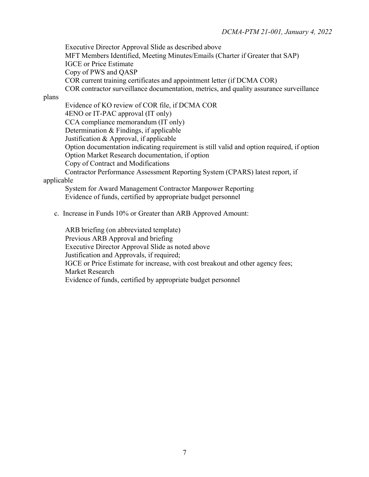Executive Director Approval Slide as described above MFT Members Identified, Meeting Minutes/Emails (Charter if Greater that SAP) IGCE or Price Estimate Copy of PWS and QASP COR current training certificates and appointment letter (if DCMA COR) COR contractor surveillance documentation, metrics, and quality assurance surveillance

plans

Evidence of KO review of COR file, if DCMA COR 4ENO or IT-PAC approval (IT only) CCA compliance memorandum (IT only) Determination & Findings, if applicable Justification & Approval, if applicable Option documentation indicating requirement is still valid and option required, if option Option Market Research documentation, if option Copy of Contract and Modifications Contractor Performance Assessment Reporting System (CPARS) latest report, if

#### applicable

System for Award Management Contractor Manpower Reporting Evidence of funds, certified by appropriate budget personnel

c. Increase in Funds 10% or Greater than ARB Approved Amount:

ARB briefing (on abbreviated template) Previous ARB Approval and briefing Executive Director Approval Slide as noted above Justification and Approvals, if required; IGCE or Price Estimate for increase, with cost breakout and other agency fees; Market Research Evidence of funds, certified by appropriate budget personnel